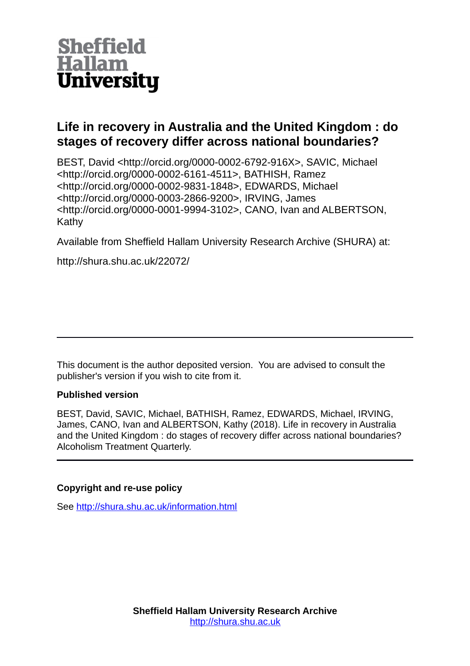

# **Life in recovery in Australia and the United Kingdom : do stages of recovery differ across national boundaries?**

BEST, David <http://orcid.org/0000-0002-6792-916X>, SAVIC, Michael <http://orcid.org/0000-0002-6161-4511>, BATHISH, Ramez <http://orcid.org/0000-0002-9831-1848>, EDWARDS, Michael <http://orcid.org/0000-0003-2866-9200>, IRVING, James <http://orcid.org/0000-0001-9994-3102>, CANO, Ivan and ALBERTSON, Kathy

Available from Sheffield Hallam University Research Archive (SHURA) at:

http://shura.shu.ac.uk/22072/

This document is the author deposited version. You are advised to consult the publisher's version if you wish to cite from it.

# **Published version**

BEST, David, SAVIC, Michael, BATHISH, Ramez, EDWARDS, Michael, IRVING, James, CANO, Ivan and ALBERTSON, Kathy (2018). Life in recovery in Australia and the United Kingdom : do stages of recovery differ across national boundaries? Alcoholism Treatment Quarterly.

# **Copyright and re-use policy**

See<http://shura.shu.ac.uk/information.html>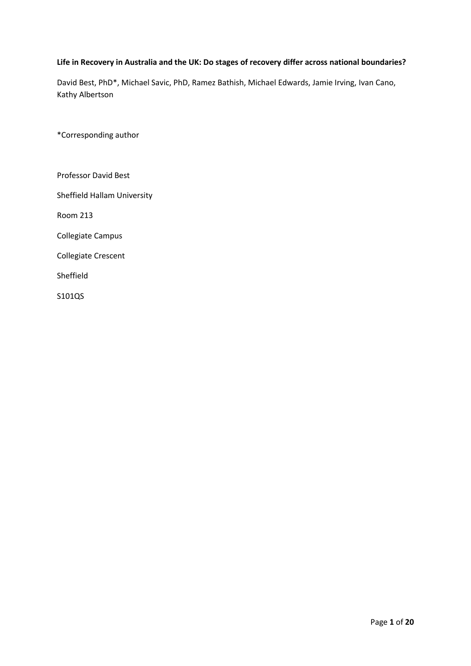# **Life in Recovery in Australia and the UK: Do stages of recovery differ across national boundaries?**

David Best, PhD\*, Michael Savic, PhD, Ramez Bathish, Michael Edwards, Jamie Irving, Ivan Cano, Kathy Albertson

\*Corresponding author

Professor David Best Sheffield Hallam University Room 213 Collegiate Campus Collegiate Crescent Sheffield

S101QS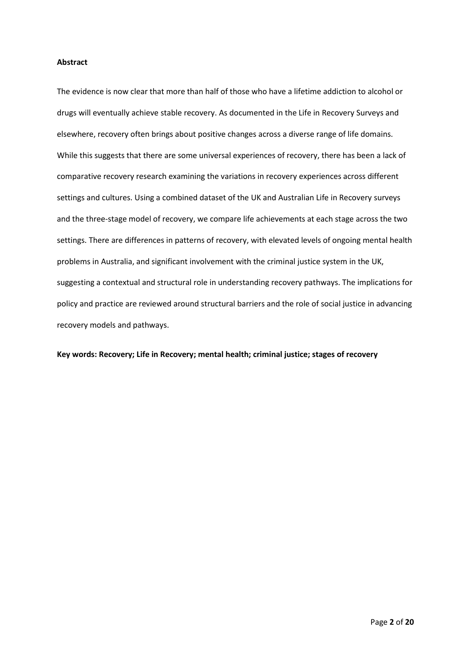### **Abstract**

The evidence is now clear that more than half of those who have a lifetime addiction to alcohol or drugs will eventually achieve stable recovery. As documented in the Life in Recovery Surveys and elsewhere, recovery often brings about positive changes across a diverse range of life domains. While this suggests that there are some universal experiences of recovery, there has been a lack of comparative recovery research examining the variations in recovery experiences across different settings and cultures. Using a combined dataset of the UK and Australian Life in Recovery surveys and the three-stage model of recovery, we compare life achievements at each stage across the two settings. There are differences in patterns of recovery, with elevated levels of ongoing mental health problems in Australia, and significant involvement with the criminal justice system in the UK, suggesting a contextual and structural role in understanding recovery pathways. The implications for policy and practice are reviewed around structural barriers and the role of social justice in advancing recovery models and pathways.

**Key words: Recovery; Life in Recovery; mental health; criminal justice; stages of recovery**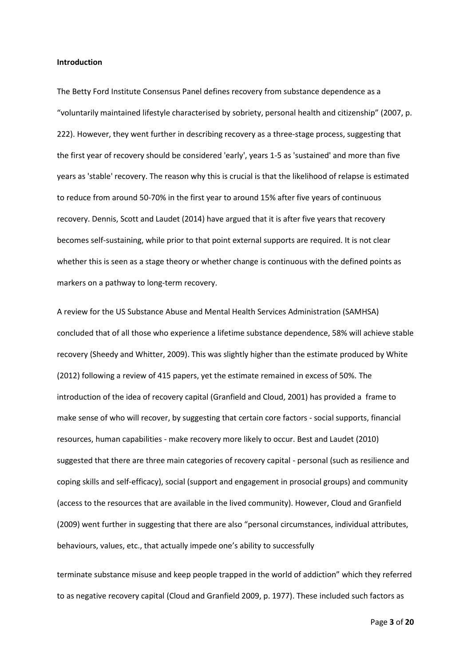#### **Introduction**

The Betty Ford Institute Consensus Panel defines recovery from substance dependence as a "voluntarily maintained lifestyle characterised by sobriety, personal health and citizenship" (2007, p. 222). However, they went further in describing recovery as a three-stage process, suggesting that the first year of recovery should be considered 'early', years 1-5 as 'sustained' and more than five years as 'stable' recovery. The reason why this is crucial is that the likelihood of relapse is estimated to reduce from around 50-70% in the first year to around 15% after five years of continuous recovery. Dennis, Scott and Laudet (2014) have argued that it is after five years that recovery becomes self-sustaining, while prior to that point external supports are required. It is not clear whether this is seen as a stage theory or whether change is continuous with the defined points as markers on a pathway to long-term recovery.

A review for the US Substance Abuse and Mental Health Services Administration (SAMHSA) concluded that of all those who experience a lifetime substance dependence, 58% will achieve stable recovery (Sheedy and Whitter, 2009). This was slightly higher than the estimate produced by White (2012) following a review of 415 papers, yet the estimate remained in excess of 50%. The introduction of the idea of recovery capital (Granfield and Cloud, 2001) has provided a frame to make sense of who will recover, by suggesting that certain core factors - social supports, financial resources, human capabilities - make recovery more likely to occur. Best and Laudet (2010) suggested that there are three main categories of recovery capital - personal (such as resilience and coping skills and self-efficacy), social (support and engagement in prosocial groups) and community (access to the resources that are available in the lived community). However, Cloud and Granfield (2009) went further in suggesting that there are also "personal circumstances, individual attributes, behaviours, values, etc., that actually impede one's ability to successfully

terminate substance misuse and keep people trapped in the world of addiction" which they referred to as negative recovery capital (Cloud and Granfield 2009, p. 1977). These included such factors as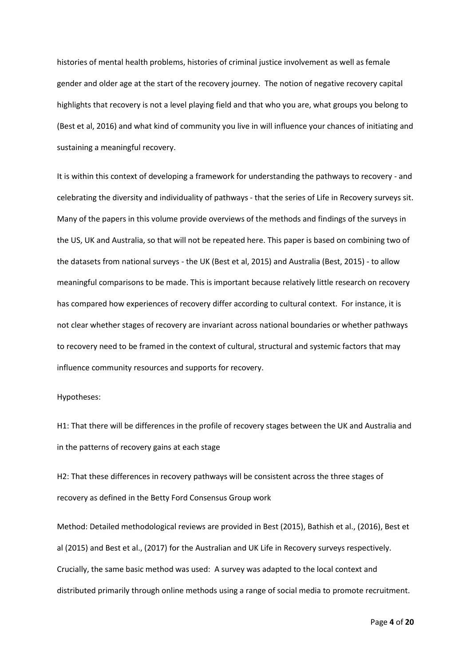histories of mental health problems, histories of criminal justice involvement as well as female gender and older age at the start of the recovery journey. The notion of negative recovery capital highlights that recovery is not a level playing field and that who you are, what groups you belong to (Best et al, 2016) and what kind of community you live in will influence your chances of initiating and sustaining a meaningful recovery.

It is within this context of developing a framework for understanding the pathways to recovery - and celebrating the diversity and individuality of pathways - that the series of Life in Recovery surveys sit. Many of the papers in this volume provide overviews of the methods and findings of the surveys in the US, UK and Australia, so that will not be repeated here. This paper is based on combining two of the datasets from national surveys - the UK (Best et al, 2015) and Australia (Best, 2015) - to allow meaningful comparisons to be made. This is important because relatively little research on recovery has compared how experiences of recovery differ according to cultural context. For instance, it is not clear whether stages of recovery are invariant across national boundaries or whether pathways to recovery need to be framed in the context of cultural, structural and systemic factors that may influence community resources and supports for recovery.

## Hypotheses:

H1: That there will be differences in the profile of recovery stages between the UK and Australia and in the patterns of recovery gains at each stage

H2: That these differences in recovery pathways will be consistent across the three stages of recovery as defined in the Betty Ford Consensus Group work

Method: Detailed methodological reviews are provided in Best (2015), Bathish et al., (2016), Best et al (2015) and Best et al., (2017) for the Australian and UK Life in Recovery surveys respectively. Crucially, the same basic method was used: A survey was adapted to the local context and distributed primarily through online methods using a range of social media to promote recruitment.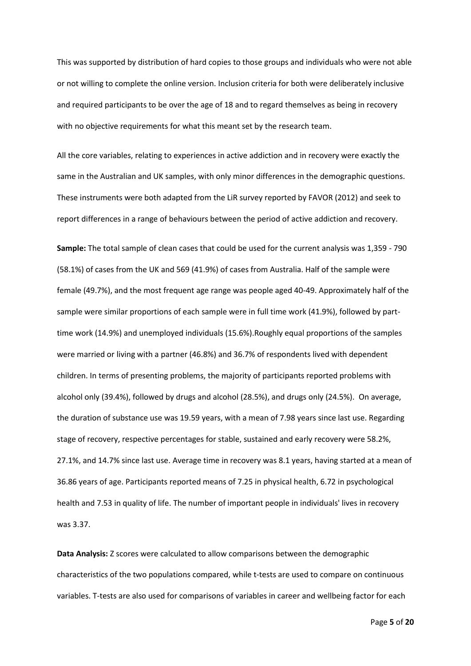This was supported by distribution of hard copies to those groups and individuals who were not able or not willing to complete the online version. Inclusion criteria for both were deliberately inclusive and required participants to be over the age of 18 and to regard themselves as being in recovery with no objective requirements for what this meant set by the research team.

All the core variables, relating to experiences in active addiction and in recovery were exactly the same in the Australian and UK samples, with only minor differences in the demographic questions. These instruments were both adapted from the LiR survey reported by FAVOR (2012) and seek to report differences in a range of behaviours between the period of active addiction and recovery.

**Sample:** The total sample of clean cases that could be used for the current analysis was 1,359 - 790 (58.1%) of cases from the UK and 569 (41.9%) of cases from Australia. Half of the sample were female (49.7%), and the most frequent age range was people aged 40-49. Approximately half of the sample were similar proportions of each sample were in full time work (41.9%), followed by parttime work (14.9%) and unemployed individuals (15.6%).Roughly equal proportions of the samples were married or living with a partner (46.8%) and 36.7% of respondents lived with dependent children. In terms of presenting problems, the majority of participants reported problems with alcohol only (39.4%), followed by drugs and alcohol (28.5%), and drugs only (24.5%). On average, the duration of substance use was 19.59 years, with a mean of 7.98 years since last use. Regarding stage of recovery, respective percentages for stable, sustained and early recovery were 58.2%, 27.1%, and 14.7% since last use. Average time in recovery was 8.1 years, having started at a mean of 36.86 years of age. Participants reported means of 7.25 in physical health, 6.72 in psychological health and 7.53 in quality of life. The number of important people in individuals' lives in recovery was 3.37.

**Data Analysis:** Z scores were calculated to allow comparisons between the demographic characteristics of the two populations compared, while t-tests are used to compare on continuous variables. T-tests are also used for comparisons of variables in career and wellbeing factor for each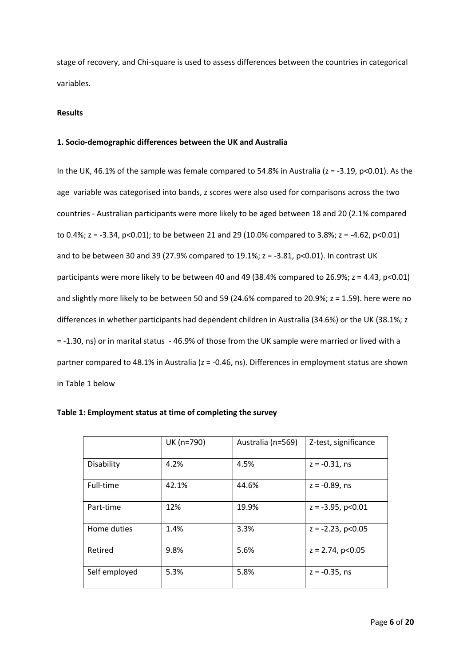stage of recovery, and Chi-square is used to assess differences between the countries in categorical variables.

#### **Results**

### **1. Socio-demographic differences between the UK and Australia**

In the UK, 46.1% of the sample was female compared to 54.8% in Australia ( $z = -3.19$ ,  $p < 0.01$ ). As the age variable was categorised into bands, z scores were also used for comparisons across the two countries - Australian participants were more likely to be aged between 18 and 20 (2.1% compared to 0.4%; z = -3.34, p<0.01); to be between 21 and 29 (10.0% compared to 3.8%; z = -4.62, p<0.01) and to be between 30 and 39 (27.9% compared to 19.1%;  $z = -3.81$ ,  $p < 0.01$ ). In contrast UK participants were more likely to be between 40 and 49 (38.4% compared to 26.9%;  $z = 4.43$ ,  $p < 0.01$ ) and slightly more likely to be between 50 and 59 (24.6% compared to 20.9%; z = 1.59). here were no differences in whether participants had dependent children in Australia (34.6%) or the UK (38.1%; z = -1.30, ns) or in marital status - 46.9% of those from the UK sample were married or lived with a partner compared to 48.1% in Australia (z = -0.46, ns). Differences in employment status are shown in Table 1 below

|               | UK (n=790) | Australia (n=569) | Z-test, significance     |
|---------------|------------|-------------------|--------------------------|
| Disability    | 4.2%       | 4.5%              | $z = -0.31$ , ns         |
| Full-time     | 42.1%      | 44.6%             | $z = -0.89$ , ns         |
| Part-time     | 12%        | 19.9%             | $z = -3.95$ , $p < 0.01$ |
| Home duties   | 1.4%       | 3.3%              | $z = -2.23$ , $p < 0.05$ |
| Retired       | 9.8%       | 5.6%              | $z = 2.74$ , $p < 0.05$  |
| Self employed | 5.3%       | 5.8%              | $z = -0.35$ , ns         |

| Table 1: Employment status at time of completing the survey |  |
|-------------------------------------------------------------|--|
|-------------------------------------------------------------|--|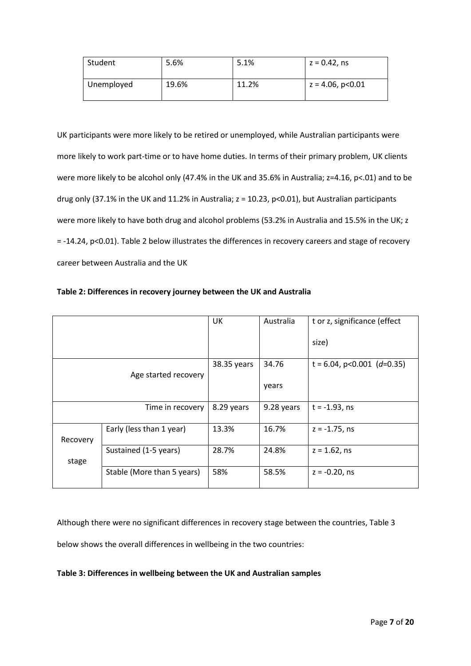| Student    | 5.6%  | 5.1%  | $z = 0.42$ , ns         |
|------------|-------|-------|-------------------------|
| Unemployed | 19.6% | 11.2% | $z = 4.06$ , $p < 0.01$ |

UK participants were more likely to be retired or unemployed, while Australian participants were more likely to work part-time or to have home duties. In terms of their primary problem, UK clients were more likely to be alcohol only (47.4% in the UK and 35.6% in Australia; z=4.16, p<.01) and to be drug only (37.1% in the UK and 11.2% in Australia; z = 10.23, p<0.01), but Australian participants were more likely to have both drug and alcohol problems (53.2% in Australia and 15.5% in the UK; z = -14.24, p<0.01). Table 2 below illustrates the differences in recovery careers and stage of recovery career between Australia and the UK

|                      |                            | UK          | Australia  | t or z, significance (effect  |
|----------------------|----------------------------|-------------|------------|-------------------------------|
|                      |                            |             |            | size)                         |
|                      |                            | 38.35 years | 34.76      | $t = 6.04$ , p<0.001 (d=0.35) |
| Age started recovery |                            |             | years      |                               |
|                      | Time in recovery           | 8.29 years  | 9.28 years | $t = -1.93$ , ns              |
| Recovery             | Early (less than 1 year)   | 13.3%       | 16.7%      | $z = -1.75$ , ns              |
| stage                | Sustained (1-5 years)      | 28.7%       | 24.8%      | $z = 1.62$ , ns               |
|                      | Stable (More than 5 years) | 58%         | 58.5%      | $z = -0.20$ , ns              |

| Table 2: Differences in recovery journey between the UK and Australia |  |  |  |
|-----------------------------------------------------------------------|--|--|--|
|                                                                       |  |  |  |

Although there were no significant differences in recovery stage between the countries, Table 3 below shows the overall differences in wellbeing in the two countries:

# **Table 3: Differences in wellbeing between the UK and Australian samples**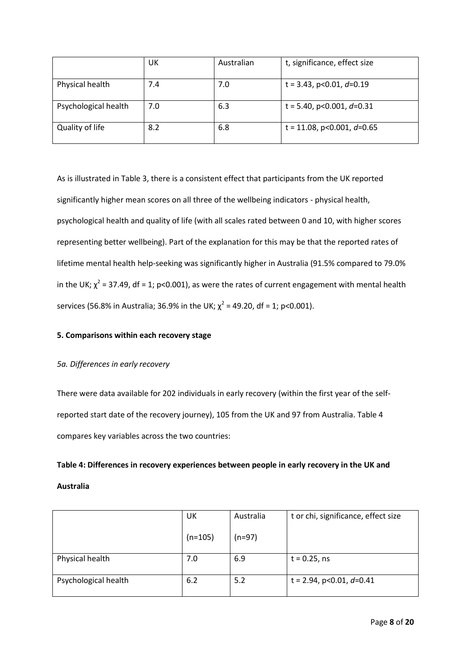|                      | UK  | Australian | t, significance, effect size  |
|----------------------|-----|------------|-------------------------------|
| Physical health      | 7.4 | 7.0        | t = 3.43, p<0.01, $d=0.19$    |
| Psychological health | 7.0 | 6.3        | t = 5.40, p<0.001, $d$ =0.31  |
| Quality of life      | 8.2 | 6.8        | t = 11.08, p<0.001, $d$ =0.65 |

As is illustrated in Table 3, there is a consistent effect that participants from the UK reported significantly higher mean scores on all three of the wellbeing indicators - physical health, psychological health and quality of life (with all scales rated between 0 and 10, with higher scores representing better wellbeing). Part of the explanation for this may be that the reported rates of lifetime mental health help-seeking was significantly higher in Australia (91.5% compared to 79.0% in the UK;  $\chi^2$  = 37.49, df = 1; p<0.001), as were the rates of current engagement with mental health services (56.8% in Australia; 36.9% in the UK;  $\chi^2$  = 49.20, df = 1; p<0.001).

## **5. Comparisons within each recovery stage**

### *5a. Differences in early recovery*

There were data available for 202 individuals in early recovery (within the first year of the selfreported start date of the recovery journey), 105 from the UK and 97 from Australia. Table 4 compares key variables across the two countries:

# **Table 4: Differences in recovery experiences between people in early recovery in the UK and Australia**

|                      | UK        | Australia | t or chi, significance, effect size |
|----------------------|-----------|-----------|-------------------------------------|
|                      | $(n=105)$ | $(n=97)$  |                                     |
| Physical health      | 7.0       | 6.9       | $t = 0.25$ , ns                     |
|                      |           |           |                                     |
| Psychological health | 6.2       | 5.2       | t = 2.94, p<0.01, $d=0.41$          |
|                      |           |           |                                     |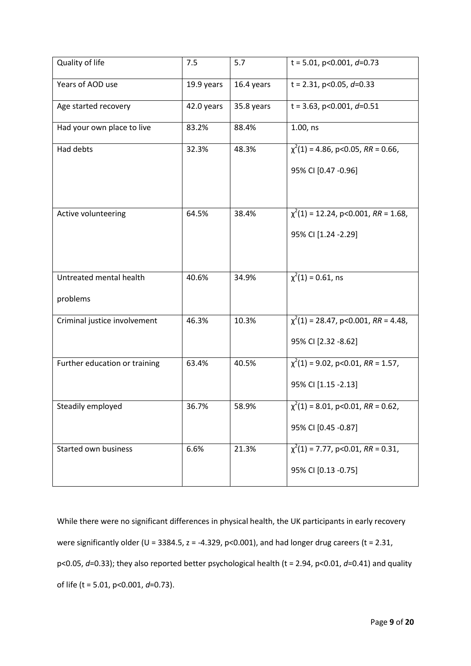| $\chi^2(1)$ = 4.86, p<0.05, RR = 0.66,    |
|-------------------------------------------|
|                                           |
|                                           |
| $\chi^2(1)$ = 12.24, p<0.001, RR = 1.68,  |
|                                           |
|                                           |
|                                           |
|                                           |
| $\chi^2(1) = 28.47$ , p<0.001, RR = 4.48, |
|                                           |
| $\chi^2(1)$ = 9.02, p<0.01, RR = 1.57,    |
|                                           |
| $\chi^2(1) = 8.01$ , p<0.01, RR = 0.62,   |
|                                           |
| $\chi^2(1)$ = 7.77, p<0.01, RR = 0.31,    |
|                                           |
|                                           |

While there were no significant differences in physical health, the UK participants in early recovery were significantly older (U = 3384.5,  $z = -4.329$ ,  $p < 0.001$ ), and had longer drug careers (t = 2.31, p<0.05, *d*=0.33); they also reported better psychological health (t = 2.94, p<0.01, *d*=0.41) and quality of life (t = 5.01, p<0.001, *d*=0.73).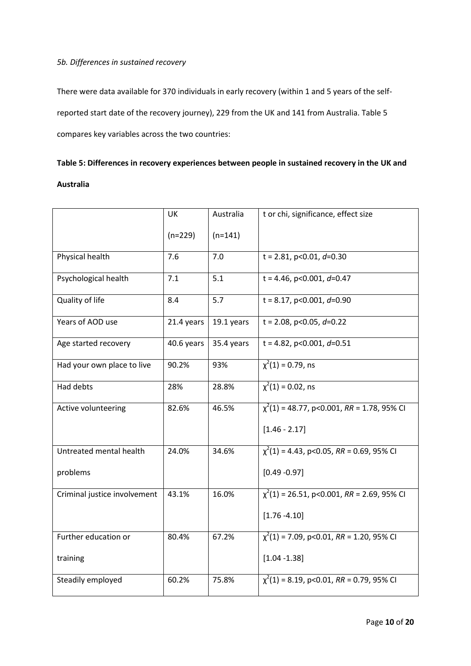# *5b. Differences in sustained recovery*

There were data available for 370 individuals in early recovery (within 1 and 5 years of the selfreported start date of the recovery journey), 229 from the UK and 141 from Australia. Table 5 compares key variables across the two countries:

# **Table 5: Differences in recovery experiences between people in sustained recovery in the UK and**

# **Australia**

|                              | <b>UK</b>  | Australia  | t or chi, significance, effect size             |
|------------------------------|------------|------------|-------------------------------------------------|
|                              | $(n=229)$  | $(n=141)$  |                                                 |
| Physical health              | 7.6        | 7.0        | $t = 2.81$ , p<0.01, d=0.30                     |
| Psychological health         | 7.1        | 5.1        | $t = 4.46$ , p<0.001, d=0.47                    |
| Quality of life              | 8.4        | 5.7        | $t = 8.17$ , p<0.001, d=0.90                    |
| Years of AOD use             | 21.4 years | 19.1 years | t = 2.08, p<0.05, $d=0.22$                      |
| Age started recovery         | 40.6 years | 35.4 years | $t = 4.82$ , p<0.001, d=0.51                    |
| Had your own place to live   | 90.2%      | 93%        | $\overline{\chi^2(1)} = 0.79$ , ns              |
| Had debts                    | 28%        | 28.8%      | $\chi^2(1) = 0.02$ , ns                         |
| Active volunteering          | 82.6%      | 46.5%      | $\chi^2(1)$ = 48.77, p<0.001, RR = 1.78, 95% CI |
|                              |            |            | $[1.46 - 2.17]$                                 |
| Untreated mental health      | 24.0%      | 34.6%      | $\chi^2(1)$ = 4.43, p<0.05, RR = 0.69, 95% CI   |
| problems                     |            |            | $[0.49 - 0.97]$                                 |
| Criminal justice involvement | 43.1%      | 16.0%      | $\chi^2(1)$ = 26.51, p<0.001, RR = 2.69, 95% CI |
|                              |            |            | $[1.76 - 4.10]$                                 |
| Further education or         | 80.4%      | 67.2%      | $\chi^2(1)$ = 7.09, p<0.01, RR = 1.20, 95% CI   |
| training                     |            |            | $[1.04 - 1.38]$                                 |
| Steadily employed            | 60.2%      | 75.8%      | $\chi^2(1) = 8.19$ , p<0.01, RR = 0.79, 95% CI  |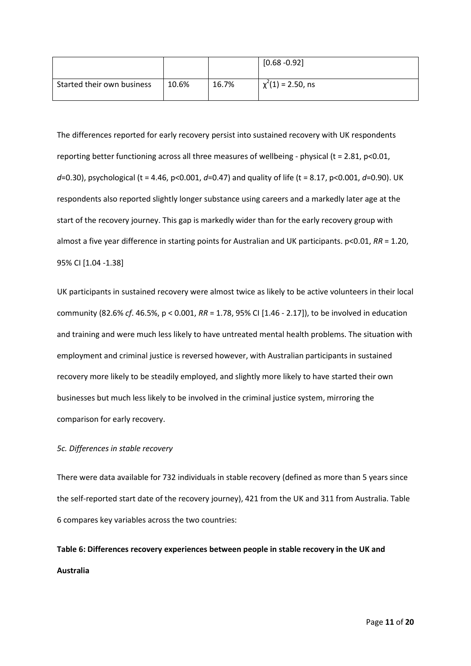|                            |       |       | $[0.68 - 0.92]$        |
|----------------------------|-------|-------|------------------------|
| Started their own business | 10.6% | 16.7% | $\chi^2(1)$ = 2.50, ns |

The differences reported for early recovery persist into sustained recovery with UK respondents reporting better functioning across all three measures of wellbeing - physical (t = 2.81, p<0.01, *d*=0.30), psychological (t = 4.46, p<0.001, *d*=0.47) and quality of life (t = 8.17, p<0.001, *d*=0.90). UK respondents also reported slightly longer substance using careers and a markedly later age at the start of the recovery journey. This gap is markedly wider than for the early recovery group with almost a five year difference in starting points for Australian and UK participants. p<0.01, *RR* = 1.20, 95% CI [1.04 -1.38]

UK participants in sustained recovery were almost twice as likely to be active volunteers in their local community (82.6% *cf*. 46.5%, p < 0.001, *RR* = 1.78, 95% CI [1.46 - 2.17]), to be involved in education and training and were much less likely to have untreated mental health problems. The situation with employment and criminal justice is reversed however, with Australian participants in sustained recovery more likely to be steadily employed, and slightly more likely to have started their own businesses but much less likely to be involved in the criminal justice system, mirroring the comparison for early recovery.

### *5c. Differences in stable recovery*

There were data available for 732 individuals in stable recovery (defined as more than 5 years since the self-reported start date of the recovery journey), 421 from the UK and 311 from Australia. Table 6 compares key variables across the two countries:

**Table 6: Differences recovery experiences between people in stable recovery in the UK and Australia**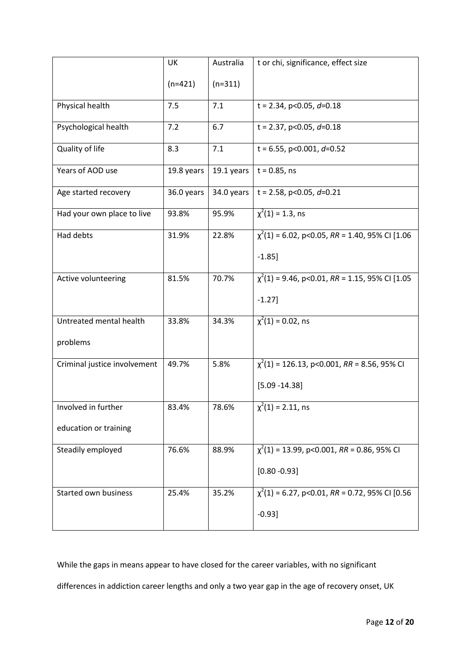|                              | UK         | Australia  | t or chi, significance, effect size                 |
|------------------------------|------------|------------|-----------------------------------------------------|
|                              | $(n=421)$  | $(n=311)$  |                                                     |
| Physical health              | 7.5        | 7.1        | $t = 2.34$ , p<0.05, d=0.18                         |
| Psychological health         | 7.2        | 6.7        | t = 2.37, p<0.05, $d=0.18$                          |
| Quality of life              | 8.3        | 7.1        | $t = 6.55$ , p<0.001, d=0.52                        |
| Years of AOD use             | 19.8 years | 19.1 years | $t = 0.85$ , ns                                     |
| Age started recovery         | 36.0 years | 34.0 years | t = 2.58, p<0.05, $d=0.21$                          |
| Had your own place to live   | 93.8%      | 95.9%      | $\chi^2(1) = 1.3$ , ns                              |
| Had debts                    | 31.9%      | 22.8%      | $\chi^2(1)$ = 6.02, p<0.05, RR = 1.40, 95% CI [1.06 |
|                              |            |            | $-1.85$ ]                                           |
| Active volunteering          | 81.5%      | 70.7%      | $\chi^2(1)$ = 9.46, p<0.01, RR = 1.15, 95% CI [1.05 |
|                              |            |            | $-1.27$ ]                                           |
| Untreated mental health      | 33.8%      | 34.3%      | $\overline{\chi^2(1)} = 0.02$ , ns                  |
| problems                     |            |            |                                                     |
| Criminal justice involvement | 49.7%      | 5.8%       | $\chi^2(1)$ = 126.13, p<0.001, RR = 8.56, 95% CI    |
|                              |            |            | $[5.09 - 14.38]$                                    |
| Involved in further          | 83.4%      | 78.6%      | $\chi^2(1) = 2.11$ , ns                             |
| education or training        |            |            |                                                     |
| Steadily employed            | 76.6%      | 88.9%      | $\chi^2(1)$ = 13.99, p<0.001, RR = 0.86, 95% CI     |
|                              |            |            | $[0.80 - 0.93]$                                     |
| Started own business         | 25.4%      | 35.2%      | $\chi^2(1)$ = 6.27, p<0.01, RR = 0.72, 95% CI [0.56 |
|                              |            |            | $-0.93]$                                            |

While the gaps in means appear to have closed for the career variables, with no significant

differences in addiction career lengths and only a two year gap in the age of recovery onset, UK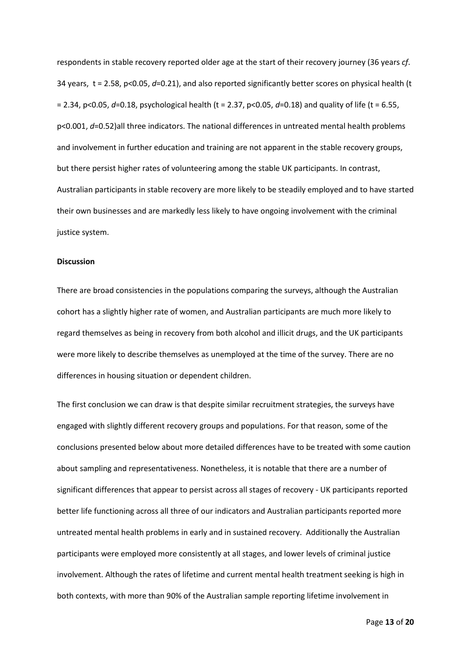respondents in stable recovery reported older age at the start of their recovery journey (36 years *cf*. 34 years, t = 2.58, p<0.05, *d*=0.21), and also reported significantly better scores on physical health (t = 2.34, p<0.05, *d*=0.18, psychological health (t = 2.37, p<0.05, *d*=0.18) and quality of life (t = 6.55, p<0.001, *d*=0.52)all three indicators. The national differences in untreated mental health problems and involvement in further education and training are not apparent in the stable recovery groups, but there persist higher rates of volunteering among the stable UK participants. In contrast, Australian participants in stable recovery are more likely to be steadily employed and to have started their own businesses and are markedly less likely to have ongoing involvement with the criminal justice system.

#### **Discussion**

There are broad consistencies in the populations comparing the surveys, although the Australian cohort has a slightly higher rate of women, and Australian participants are much more likely to regard themselves as being in recovery from both alcohol and illicit drugs, and the UK participants were more likely to describe themselves as unemployed at the time of the survey. There are no differences in housing situation or dependent children.

The first conclusion we can draw is that despite similar recruitment strategies, the surveys have engaged with slightly different recovery groups and populations. For that reason, some of the conclusions presented below about more detailed differences have to be treated with some caution about sampling and representativeness. Nonetheless, it is notable that there are a number of significant differences that appear to persist across all stages of recovery - UK participants reported better life functioning across all three of our indicators and Australian participants reported more untreated mental health problems in early and in sustained recovery. Additionally the Australian participants were employed more consistently at all stages, and lower levels of criminal justice involvement. Although the rates of lifetime and current mental health treatment seeking is high in both contexts, with more than 90% of the Australian sample reporting lifetime involvement in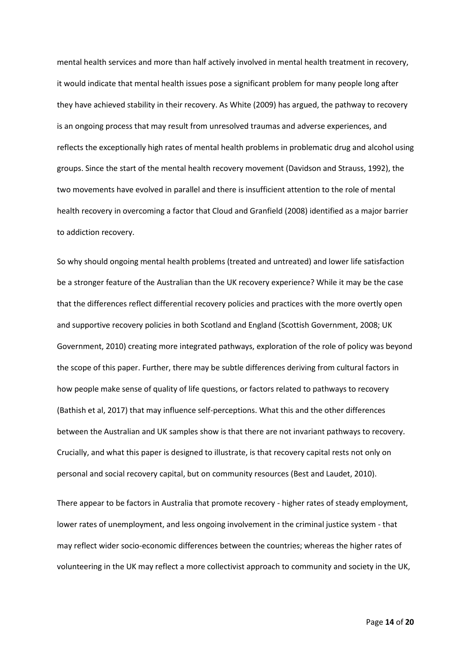mental health services and more than half actively involved in mental health treatment in recovery, it would indicate that mental health issues pose a significant problem for many people long after they have achieved stability in their recovery. As White (2009) has argued, the pathway to recovery is an ongoing process that may result from unresolved traumas and adverse experiences, and reflects the exceptionally high rates of mental health problems in problematic drug and alcohol using groups. Since the start of the mental health recovery movement (Davidson and Strauss, 1992), the two movements have evolved in parallel and there is insufficient attention to the role of mental health recovery in overcoming a factor that Cloud and Granfield (2008) identified as a major barrier to addiction recovery.

So why should ongoing mental health problems (treated and untreated) and lower life satisfaction be a stronger feature of the Australian than the UK recovery experience? While it may be the case that the differences reflect differential recovery policies and practices with the more overtly open and supportive recovery policies in both Scotland and England (Scottish Government, 2008; UK Government, 2010) creating more integrated pathways, exploration of the role of policy was beyond the scope of this paper. Further, there may be subtle differences deriving from cultural factors in how people make sense of quality of life questions, or factors related to pathways to recovery (Bathish et al, 2017) that may influence self-perceptions. What this and the other differences between the Australian and UK samples show is that there are not invariant pathways to recovery. Crucially, and what this paper is designed to illustrate, is that recovery capital rests not only on personal and social recovery capital, but on community resources (Best and Laudet, 2010).

There appear to be factors in Australia that promote recovery - higher rates of steady employment, lower rates of unemployment, and less ongoing involvement in the criminal justice system - that may reflect wider socio-economic differences between the countries; whereas the higher rates of volunteering in the UK may reflect a more collectivist approach to community and society in the UK,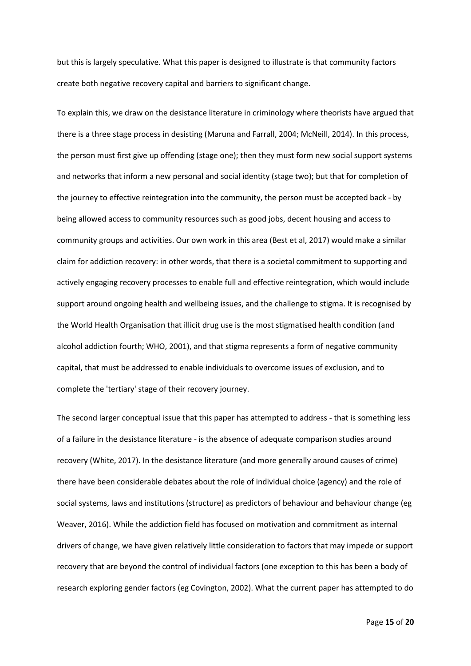but this is largely speculative. What this paper is designed to illustrate is that community factors create both negative recovery capital and barriers to significant change.

To explain this, we draw on the desistance literature in criminology where theorists have argued that there is a three stage process in desisting (Maruna and Farrall, 2004; McNeill, 2014). In this process, the person must first give up offending (stage one); then they must form new social support systems and networks that inform a new personal and social identity (stage two); but that for completion of the journey to effective reintegration into the community, the person must be accepted back - by being allowed access to community resources such as good jobs, decent housing and access to community groups and activities. Our own work in this area (Best et al, 2017) would make a similar claim for addiction recovery: in other words, that there is a societal commitment to supporting and actively engaging recovery processes to enable full and effective reintegration, which would include support around ongoing health and wellbeing issues, and the challenge to stigma. It is recognised by the World Health Organisation that illicit drug use is the most stigmatised health condition (and alcohol addiction fourth; WHO, 2001), and that stigma represents a form of negative community capital, that must be addressed to enable individuals to overcome issues of exclusion, and to complete the 'tertiary' stage of their recovery journey.

The second larger conceptual issue that this paper has attempted to address - that is something less of a failure in the desistance literature - is the absence of adequate comparison studies around recovery (White, 2017). In the desistance literature (and more generally around causes of crime) there have been considerable debates about the role of individual choice (agency) and the role of social systems, laws and institutions (structure) as predictors of behaviour and behaviour change (eg Weaver, 2016). While the addiction field has focused on motivation and commitment as internal drivers of change, we have given relatively little consideration to factors that may impede or support recovery that are beyond the control of individual factors (one exception to this has been a body of research exploring gender factors (eg Covington, 2002). What the current paper has attempted to do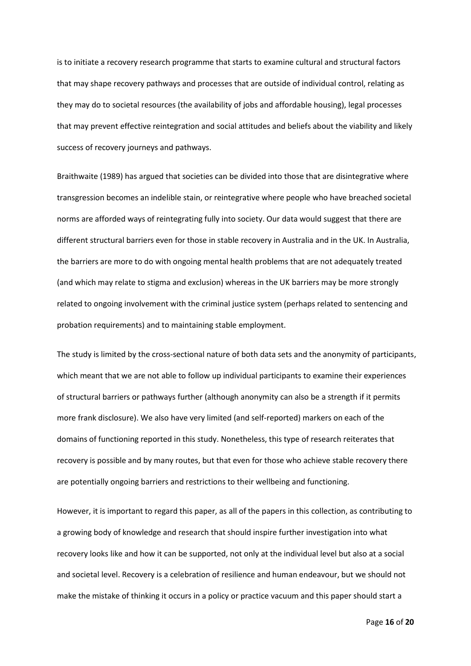is to initiate a recovery research programme that starts to examine cultural and structural factors that may shape recovery pathways and processes that are outside of individual control, relating as they may do to societal resources (the availability of jobs and affordable housing), legal processes that may prevent effective reintegration and social attitudes and beliefs about the viability and likely success of recovery journeys and pathways.

Braithwaite (1989) has argued that societies can be divided into those that are disintegrative where transgression becomes an indelible stain, or reintegrative where people who have breached societal norms are afforded ways of reintegrating fully into society. Our data would suggest that there are different structural barriers even for those in stable recovery in Australia and in the UK. In Australia, the barriers are more to do with ongoing mental health problems that are not adequately treated (and which may relate to stigma and exclusion) whereas in the UK barriers may be more strongly related to ongoing involvement with the criminal justice system (perhaps related to sentencing and probation requirements) and to maintaining stable employment.

The study is limited by the cross-sectional nature of both data sets and the anonymity of participants, which meant that we are not able to follow up individual participants to examine their experiences of structural barriers or pathways further (although anonymity can also be a strength if it permits more frank disclosure). We also have very limited (and self-reported) markers on each of the domains of functioning reported in this study. Nonetheless, this type of research reiterates that recovery is possible and by many routes, but that even for those who achieve stable recovery there are potentially ongoing barriers and restrictions to their wellbeing and functioning.

However, it is important to regard this paper, as all of the papers in this collection, as contributing to a growing body of knowledge and research that should inspire further investigation into what recovery looks like and how it can be supported, not only at the individual level but also at a social and societal level. Recovery is a celebration of resilience and human endeavour, but we should not make the mistake of thinking it occurs in a policy or practice vacuum and this paper should start a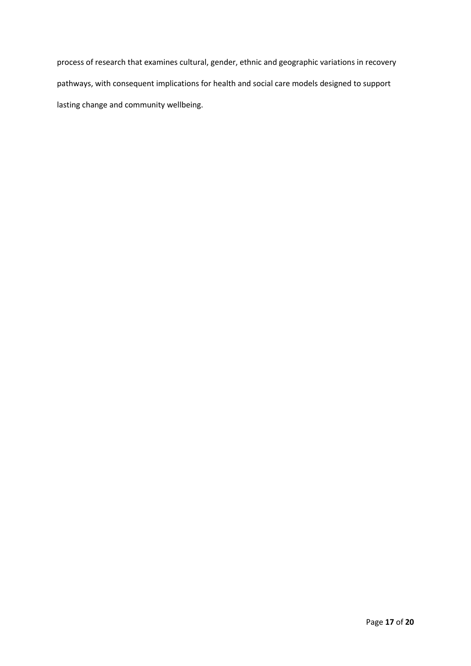process of research that examines cultural, gender, ethnic and geographic variations in recovery pathways, with consequent implications for health and social care models designed to support lasting change and community wellbeing.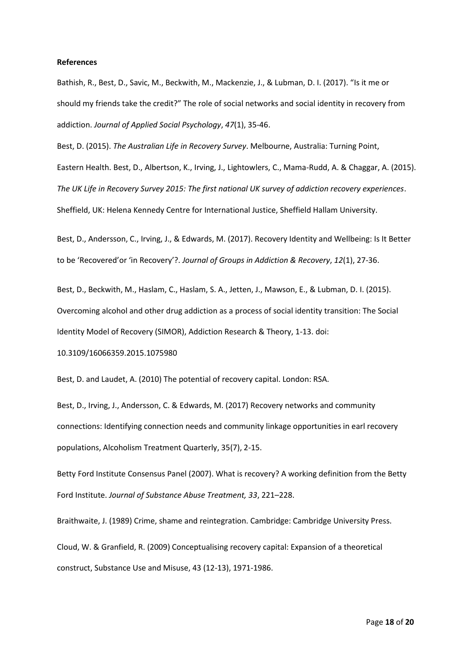#### **References**

Bathish, R., Best, D., Savic, M., Beckwith, M., Mackenzie, J., & Lubman, D. I. (2017). "Is it me or should my friends take the credit?" The role of social networks and social identity in recovery from addiction. *Journal of Applied Social Psychology*, *47*(1), 35-46.

Best, D. (2015). *The Australian Life in Recovery Survey*. Melbourne, Australia: Turning Point, Eastern Health. Best, D., Albertson, K., Irving, J., Lightowlers, C., Mama-Rudd, A. & Chaggar, A. (2015). *The UK Life in Recovery Survey 2015: The first national UK survey of addiction recovery experiences*. Sheffield, UK: Helena Kennedy Centre for International Justice, Sheffield Hallam University.

Best, D., Andersson, C., Irving, J., & Edwards, M. (2017). Recovery Identity and Wellbeing: Is It Better to be 'Recovered'or 'in Recovery'?. *Journal of Groups in Addiction & Recovery*, *12*(1), 27-36.

Best, D., Beckwith, M., Haslam, C., Haslam, S. A., Jetten, J., Mawson, E., & Lubman, D. I. (2015). Overcoming alcohol and other drug addiction as a process of social identity transition: The Social Identity Model of Recovery (SIMOR), Addiction Research & Theory, 1-13. doi:

10.3109/16066359.2015.1075980

Best, D. and Laudet, A. (2010) The potential of recovery capital. London: RSA.

Best, D., Irving, J., Andersson, C. & Edwards, M. (2017) Recovery networks and community connections: Identifying connection needs and community linkage opportunities in earl recovery populations, Alcoholism Treatment Quarterly, 35(7), 2-15.

Betty Ford Institute Consensus Panel (2007). What is recovery? A working definition from the Betty Ford Institute. *Journal of Substance Abuse Treatment, 33*, 221–228.

Braithwaite, J. (1989) Crime, shame and reintegration. Cambridge: Cambridge University Press. Cloud, W. & Granfield, R. (2009) Conceptualising recovery capital: Expansion of a theoretical construct, Substance Use and Misuse, 43 (12-13), 1971-1986.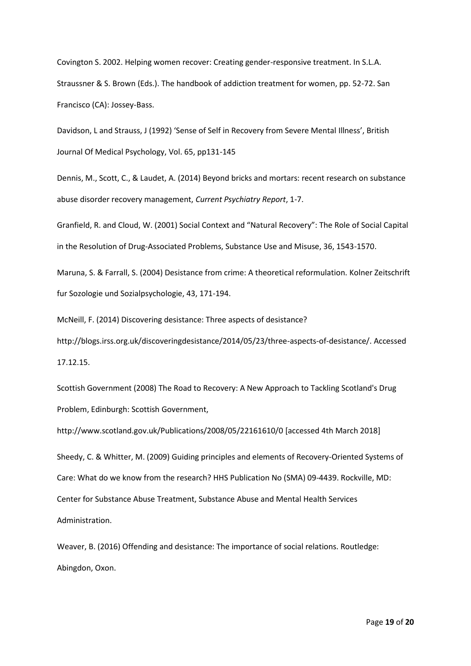Covington S. 2002. Helping women recover: Creating gender-responsive treatment. In S.L.A. Straussner & S. Brown (Eds.). The handbook of addiction treatment for women, pp. 52-72. San Francisco (CA): Jossey-Bass.

Davidson, L and Strauss, J (1992) 'Sense of Self in Recovery from Severe Mental Illness', British Journal Of Medical Psychology, Vol. 65, pp131-145

Dennis, M., Scott, C., & Laudet, A. (2014) Beyond bricks and mortars: recent research on substance abuse disorder recovery management, *Current Psychiatry Report*, 1-7.

Granfield, R. and Cloud, W. (2001) Social Context and "Natural Recovery": The Role of Social Capital in the Resolution of Drug-Associated Problems, Substance Use and Misuse, 36, 1543-1570.

Maruna, S. & Farrall, S. (2004) Desistance from crime: A theoretical reformulation. Kolner Zeitschrift fur Sozologie und Sozialpsychologie, 43, 171-194.

McNeill, F. (2014) Discovering desistance: Three aspects of desistance?

[http://blogs.irss.org.uk/discoveringdesistance/2014/05/23/three-aspects-of-desistance/.](http://blogs.irss.org.uk/discoveringdesistance/2014/05/23/three-aspects-of-desistance/) Accessed 17.12.15.

Scottish Government (2008) The Road to Recovery: A New Approach to Tackling Scotland's Drug Problem, Edinburgh: Scottish Government,

http://www.scotland.gov.uk/Publications/2008/05/22161610/0 [accessed 4th March 2018]

Sheedy, C. & Whitter, M. (2009) Guiding principles and elements of Recovery-Oriented Systems of Care: What do we know from the research? HHS Publication No (SMA) 09-4439. Rockville, MD: Center for Substance Abuse Treatment, Substance Abuse and Mental Health Services Administration.

Weaver, B. (2016) Offending and desistance: The importance of social relations. Routledge: Abingdon, Oxon.